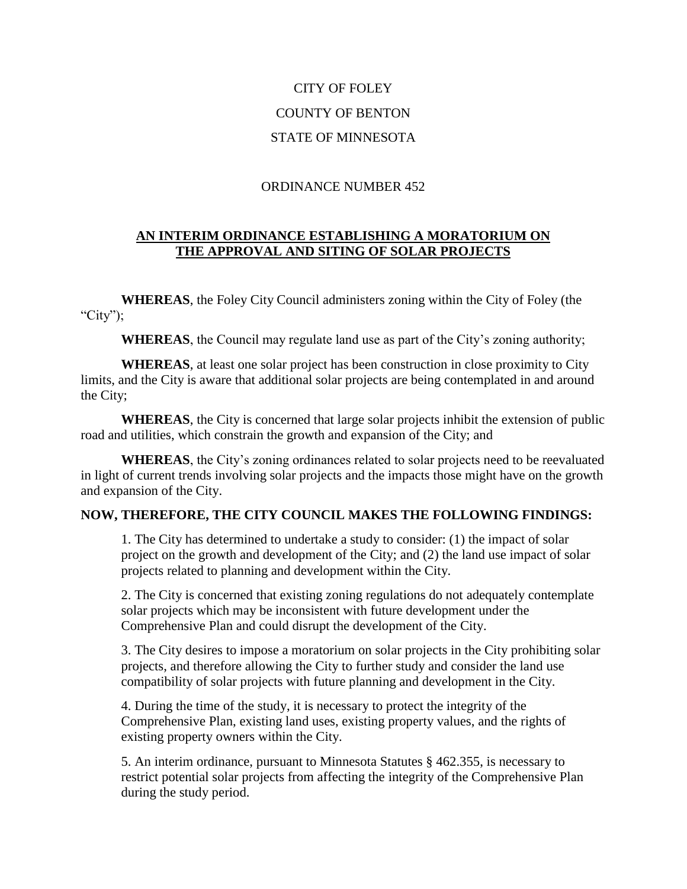# CITY OF FOLEY COUNTY OF BENTON STATE OF MINNESOTA

## ORDINANCE NUMBER 452

## **AN INTERIM ORDINANCE ESTABLISHING A MORATORIUM ON THE APPROVAL AND SITING OF SOLAR PROJECTS**

**WHEREAS**, the Foley City Council administers zoning within the City of Foley (the "City");

**WHEREAS**, the Council may regulate land use as part of the City's zoning authority;

**WHEREAS**, at least one solar project has been construction in close proximity to City limits, and the City is aware that additional solar projects are being contemplated in and around the City;

**WHEREAS**, the City is concerned that large solar projects inhibit the extension of public road and utilities, which constrain the growth and expansion of the City; and

**WHEREAS**, the City's zoning ordinances related to solar projects need to be reevaluated in light of current trends involving solar projects and the impacts those might have on the growth and expansion of the City.

#### **NOW, THEREFORE, THE CITY COUNCIL MAKES THE FOLLOWING FINDINGS:**

1. The City has determined to undertake a study to consider: (1) the impact of solar project on the growth and development of the City; and (2) the land use impact of solar projects related to planning and development within the City.

2. The City is concerned that existing zoning regulations do not adequately contemplate solar projects which may be inconsistent with future development under the Comprehensive Plan and could disrupt the development of the City.

3. The City desires to impose a moratorium on solar projects in the City prohibiting solar projects, and therefore allowing the City to further study and consider the land use compatibility of solar projects with future planning and development in the City.

4. During the time of the study, it is necessary to protect the integrity of the Comprehensive Plan, existing land uses, existing property values, and the rights of existing property owners within the City.

5. An interim ordinance, pursuant to Minnesota Statutes § 462.355, is necessary to restrict potential solar projects from affecting the integrity of the Comprehensive Plan during the study period.